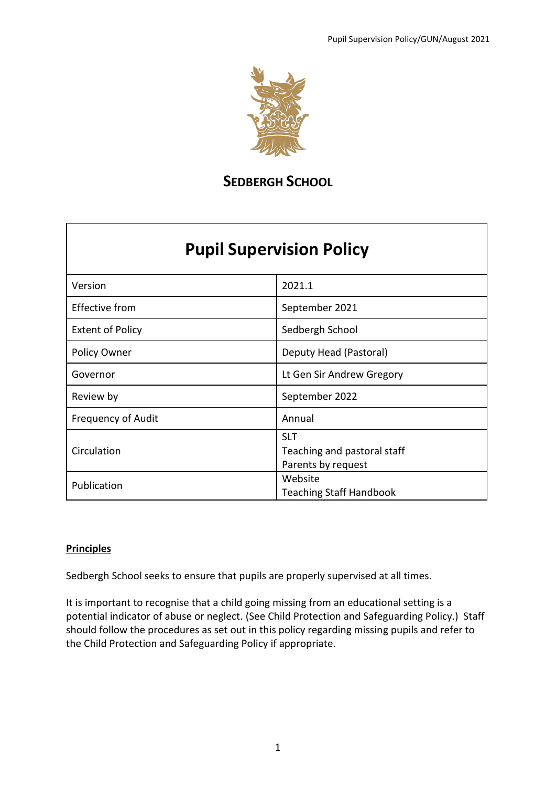

# **SEDBERGH SCHOOL**

# **Pupil Supervision Policy**

| Version                   | 2021.1                                                          |  |  |  |  |
|---------------------------|-----------------------------------------------------------------|--|--|--|--|
| <b>Effective from</b>     | September 2021                                                  |  |  |  |  |
| <b>Extent of Policy</b>   | Sedbergh School                                                 |  |  |  |  |
| Policy Owner              | Deputy Head (Pastoral)                                          |  |  |  |  |
| Governor                  | Lt Gen Sir Andrew Gregory                                       |  |  |  |  |
| Review by                 | September 2022                                                  |  |  |  |  |
| <b>Frequency of Audit</b> | Annual                                                          |  |  |  |  |
| Circulation               | <b>SLT</b><br>Teaching and pastoral staff<br>Parents by request |  |  |  |  |
| Publication               | Website<br><b>Teaching Staff Handbook</b>                       |  |  |  |  |

#### **Principles**

Sedbergh School seeks to ensure that pupils are properly supervised at all times.

It is important to recognise that a child going missing from an educational setting is a potential indicator of abuse or neglect. (See Child Protection and Safeguarding Policy.) Staff should follow the procedures as set out in this policy regarding missing pupils and refer to the Child Protection and Safeguarding Policy if appropriate.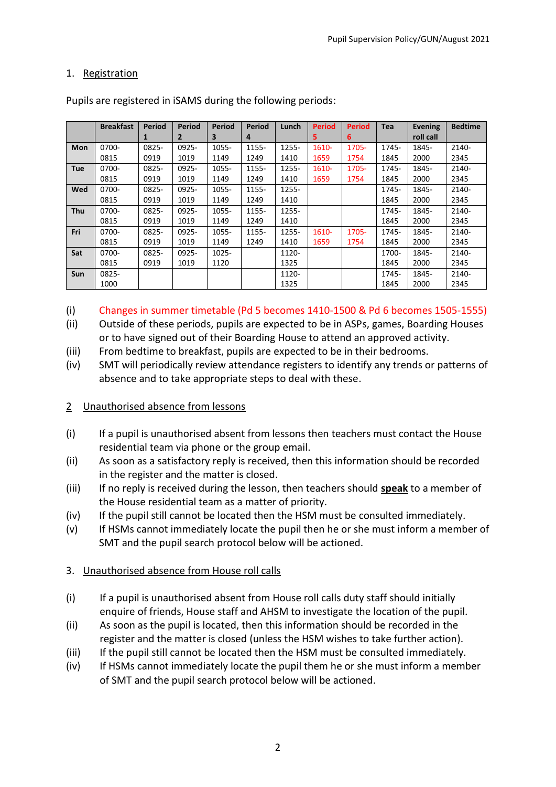#### 1. Registration

|            | <b>Breakfast</b> | Period | <b>Period</b>  | Period | <b>Period</b> | Lunch | <b>Period</b> | <b>Period</b> | <b>Tea</b> | <b>Evening</b> | <b>Bedtime</b> |
|------------|------------------|--------|----------------|--------|---------------|-------|---------------|---------------|------------|----------------|----------------|
|            |                  | 1      | $\overline{2}$ | 3      | 4             |       | 5.            | 6             |            | roll call      |                |
| <b>Mon</b> | 0700-            | 0825-  | 0925-          | 1055-  | 1155-         | 1255- | 1610-         | 1705-         | 1745-      | 1845-          | 2140-          |
|            | 0815             | 0919   | 1019           | 1149   | 1249          | 1410  | 1659          | 1754          | 1845       | 2000           | 2345           |
| <b>Tue</b> | 0700-            | 0825-  | 0925-          | 1055-  | 1155-         | 1255- | 1610-         | 1705-         | 1745-      | 1845-          | 2140-          |
|            | 0815             | 0919   | 1019           | 1149   | 1249          | 1410  | 1659          | 1754          | 1845       | 2000           | 2345           |
| Wed        | 0700-            | 0825-  | 0925-          | 1055-  | 1155-         | 1255- |               |               | 1745-      | 1845-          | 2140-          |
|            | 0815             | 0919   | 1019           | 1149   | 1249          | 1410  |               |               | 1845       | 2000           | 2345           |
| <b>Thu</b> | 0700-            | 0825-  | 0925-          | 1055-  | 1155-         | 1255- |               |               | 1745-      | 1845-          | 2140-          |
|            | 0815             | 0919   | 1019           | 1149   | 1249          | 1410  |               |               | 1845       | 2000           | 2345           |
| Fri        | 0700-            | 0825-  | 0925-          | 1055-  | 1155-         | 1255- | 1610-         | 1705-         | 1745-      | 1845-          | 2140-          |
|            | 0815             | 0919   | 1019           | 1149   | 1249          | 1410  | 1659          | 1754          | 1845       | 2000           | 2345           |
| Sat        | 0700-            | 0825-  | 0925-          | 1025-  |               | 1120- |               |               | 1700-      | 1845-          | 2140-          |
|            | 0815             | 0919   | 1019           | 1120   |               | 1325  |               |               | 1845       | 2000           | 2345           |
| Sun        | 0825-            |        |                |        |               | 1120- |               |               | 1745-      | 1845-          | 2140-          |
|            | 1000             |        |                |        |               | 1325  |               |               | 1845       | 2000           | 2345           |

Pupils are registered in iSAMS during the following periods:

(i) Changes in summer timetable (Pd 5 becomes 1410-1500 & Pd 6 becomes 1505-1555)

- (ii) Outside of these periods, pupils are expected to be in ASPs, games, Boarding Houses or to have signed out of their Boarding House to attend an approved activity.
- (iii) From bedtime to breakfast, pupils are expected to be in their bedrooms.
- (iv) SMT will periodically review attendance registers to identify any trends or patterns of absence and to take appropriate steps to deal with these.

#### 2 Unauthorised absence from lessons

- (i) If a pupil is unauthorised absent from lessons then teachers must contact the House residential team via phone or the group email.
- (ii) As soon as a satisfactory reply is received, then this information should be recorded in the register and the matter is closed.
- (iii) If no reply is received during the lesson, then teachers should **speak** to a member of the House residential team as a matter of priority.
- (iv) If the pupil still cannot be located then the HSM must be consulted immediately.
- (v) If HSMs cannot immediately locate the pupil then he or she must inform a member of SMT and the pupil search protocol below will be actioned.

#### 3. Unauthorised absence from House roll calls

- (i) If a pupil is unauthorised absent from House roll calls duty staff should initially enquire of friends, House staff and AHSM to investigate the location of the pupil.
- (ii) As soon as the pupil is located, then this information should be recorded in the register and the matter is closed (unless the HSM wishes to take further action).
- (iii) If the pupil still cannot be located then the HSM must be consulted immediately.
- (iv) If HSMs cannot immediately locate the pupil them he or she must inform a member of SMT and the pupil search protocol below will be actioned.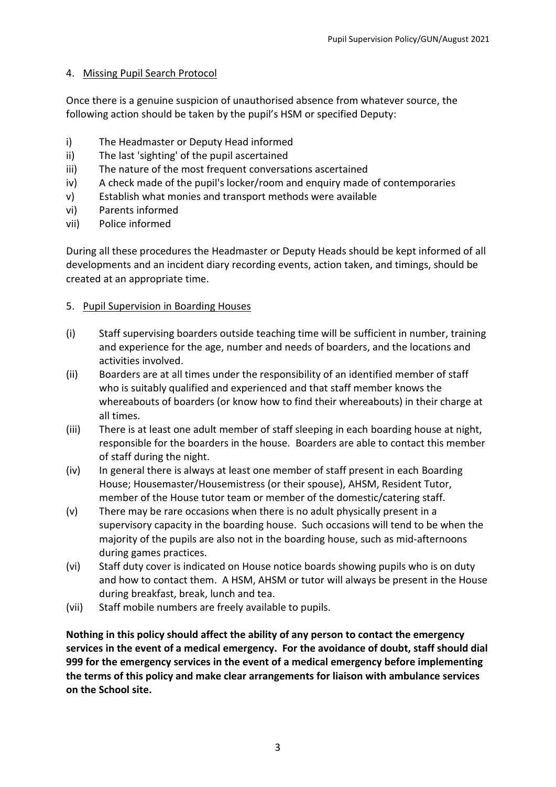# 4. Missing Pupil Search Protocol

Once there is a genuine suspicion of unauthorised absence from whatever source, the following action should be taken by the pupil's HSM or specified Deputy:

- i) The Headmaster or Deputy Head informed
- ii) The last 'sighting' of the pupil ascertained
- iii) The nature of the most frequent conversations ascertained
- iv) A check made of the pupil's locker/room and enquiry made of contemporaries
- v) Establish what monies and transport methods were available
- vi) Parents informed
- vii) Police informed

During all these procedures the Headmaster or Deputy Heads should be kept informed of all developments and an incident diary recording events, action taken, and timings, should be created at an appropriate time.

# 5. Pupil Supervision in Boarding Houses

- (i) Staff supervising boarders outside teaching time will be sufficient in number, training and experience for the age, number and needs of boarders, and the locations and activities involved.
- (ii) Boarders are at all times under the responsibility of an identified member of staff who is suitably qualified and experienced and that staff member knows the whereabouts of boarders (or know how to find their whereabouts) in their charge at all times.
- (iii) There is at least one adult member of staff sleeping in each boarding house at night, responsible for the boarders in the house. Boarders are able to contact this member of staff during the night.
- (iv) In general there is always at least one member of staff present in each Boarding House; Housemaster/Housemistress (or their spouse), AHSM, Resident Tutor, member of the House tutor team or member of the domestic/catering staff.
- (v) There may be rare occasions when there is no adult physically present in a supervisory capacity in the boarding house. Such occasions will tend to be when the majority of the pupils are also not in the boarding house, such as mid-afternoons during games practices.
- (vi) Staff duty cover is indicated on House notice boards showing pupils who is on duty and how to contact them. A HSM, AHSM or tutor will always be present in the House during breakfast, break, lunch and tea.
- (vii) Staff mobile numbers are freely available to pupils.

**Nothing in this policy should affect the ability of any person to contact the emergency services in the event of a medical emergency. For the avoidance of doubt, staff should dial 999 for the emergency services in the event of a medical emergency before implementing the terms of this policy and make clear arrangements for liaison with ambulance services on the School site.**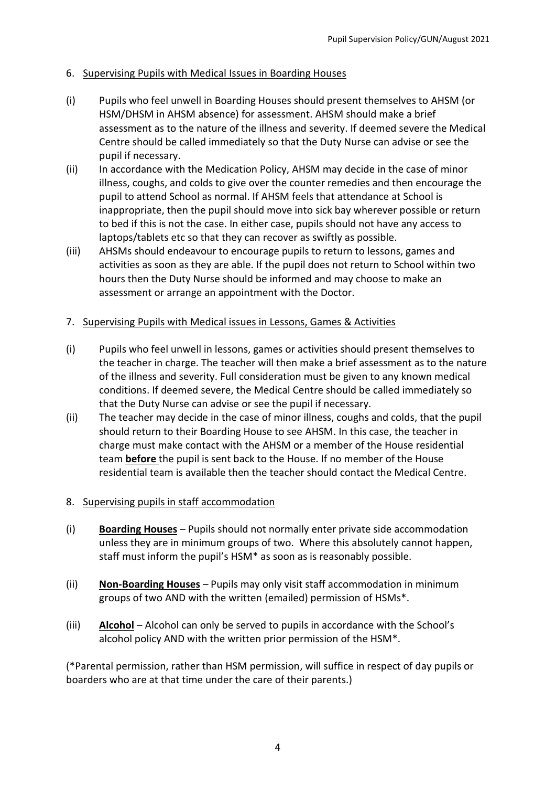# 6. Supervising Pupils with Medical Issues in Boarding Houses

- (i) Pupils who feel unwell in Boarding Houses should present themselves to AHSM (or HSM/DHSM in AHSM absence) for assessment. AHSM should make a brief assessment as to the nature of the illness and severity. If deemed severe the Medical Centre should be called immediately so that the Duty Nurse can advise or see the pupil if necessary.
- (ii) In accordance with the Medication Policy, AHSM may decide in the case of minor illness, coughs, and colds to give over the counter remedies and then encourage the pupil to attend School as normal. If AHSM feels that attendance at School is inappropriate, then the pupil should move into sick bay wherever possible or return to bed if this is not the case. In either case, pupils should not have any access to laptops/tablets etc so that they can recover as swiftly as possible.
- (iii) AHSMs should endeavour to encourage pupils to return to lessons, games and activities as soon as they are able. If the pupil does not return to School within two hours then the Duty Nurse should be informed and may choose to make an assessment or arrange an appointment with the Doctor.
- 7. Supervising Pupils with Medical issues in Lessons, Games & Activities
- (i) Pupils who feel unwell in lessons, games or activities should present themselves to the teacher in charge. The teacher will then make a brief assessment as to the nature of the illness and severity. Full consideration must be given to any known medical conditions. If deemed severe, the Medical Centre should be called immediately so that the Duty Nurse can advise or see the pupil if necessary.
- (ii) The teacher may decide in the case of minor illness, coughs and colds, that the pupil should return to their Boarding House to see AHSM. In this case, the teacher in charge must make contact with the AHSM or a member of the House residential team **before** the pupil is sent back to the House. If no member of the House residential team is available then the teacher should contact the Medical Centre.
- 8. Supervising pupils in staff accommodation
- (i) **Boarding Houses** Pupils should not normally enter private side accommodation unless they are in minimum groups of two. Where this absolutely cannot happen, staff must inform the pupil's HSM\* as soon as is reasonably possible.
- (ii) **Non-Boarding Houses** Pupils may only visit staff accommodation in minimum groups of two AND with the written (emailed) permission of HSMs\*.
- (iii) **Alcohol**  Alcohol can only be served to pupils in accordance with the School's alcohol policy AND with the written prior permission of the HSM\*.

(\*Parental permission, rather than HSM permission, will suffice in respect of day pupils or boarders who are at that time under the care of their parents.)